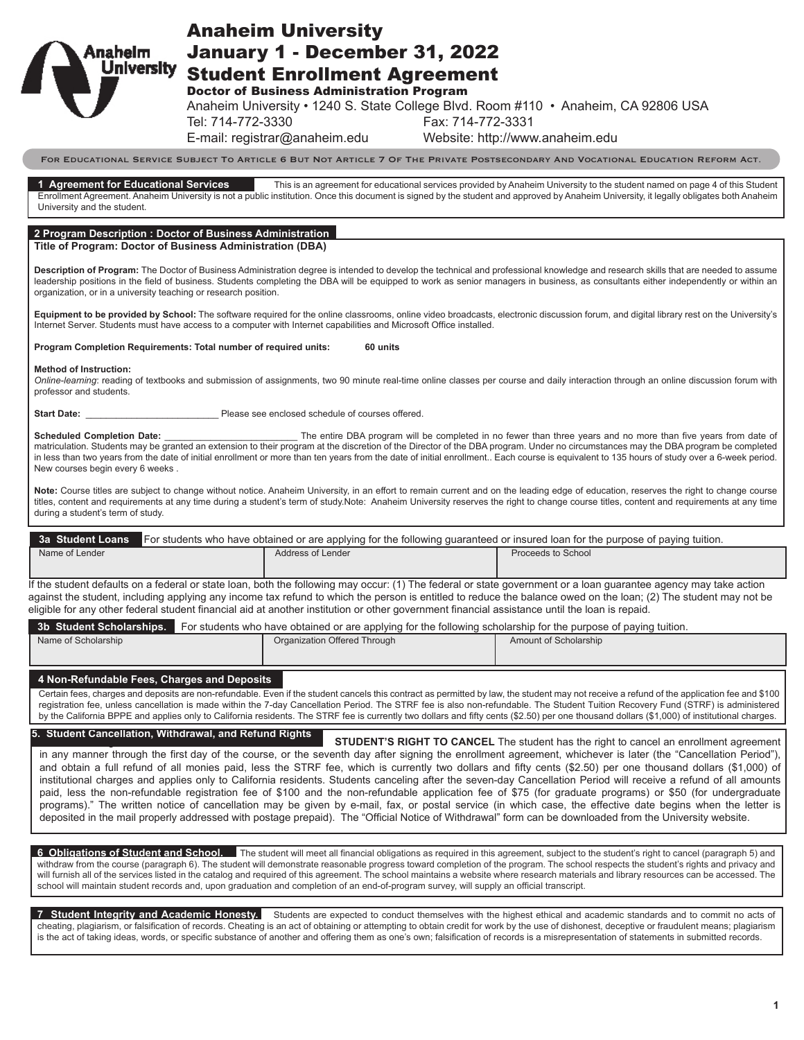| Anahelm<br><b>University</b> |
|------------------------------|
|------------------------------|

# Anaheim University

January 1 - December 31, 2022 Student Enrollment Agreement

Doctor of Business Administration Program

Anaheim University • 1240 S. State College Blvd. Room #110 • Anaheim, CA 92806 USA

Tel: 714-772-3330 Fax: 714-772-3331

E-mail: registrar@anaheim.edu Website: http://www.anaheim.edu

For Educational Service Subject To Article 6 But Not Article 7 Of The Private Postsecondary And Vocational Education Reform Act.

**1 Agreement for Educational Services** This is an agreement for educational services provided by Anaheim University to the student named on page 4 of this Student Enrollment Agreement. Anaheim University is not a public institution. Once this document is signed by the student and approved by Anaheim University, it legally obligates both Anaheim University and the student.

#### **2 Program Description : Doctor of Business Administration**

**Title of Program: Doctor of Business Administration (DBA)**

**Description of Program:** The Doctor of Business Administration degree is intended to develop the technical and professional knowledge and research skills that are needed to assume leadership positions in the field of business. Students completing the DBA will be equipped to work as senior managers in business, as consultants either independently or within an organization, or in a university teaching or research position.

**Equipment to be provided by School:** The software required for the online classrooms, online video broadcasts, electronic discussion forum, and digital library rest on the University's Internet Server. Students must have access to a computer with Internet capabilities and Microsoft Office installed.

#### **Program Completion Requirements: Total number of required units: 60 units**

**Method of Instruction:**

*Online-learning*: reading of textbooks and submission of assignments, two 90 minute real-time online classes per course and daily interaction through an online discussion forum with professor and students.

**Start Date: Start Date: Start Date: Please see enclosed schedule of courses offered.** 

Scheduled Completion Date: \_\_\_\_\_\_\_\_\_\_\_\_\_\_\_\_\_\_\_\_\_\_\_\_\_\_\_\_\_\_\_The entire DBA program will be completed in no fewer than three years and no more than five years from date of matriculation. Students may be granted an extension to their program at the discretion of the Director of the DBA program. Under no circumstances may the DBA program be completed in less than two years from the date of initial enrollment or more than ten years from the date of initial enrollment.. Each course is equivalent to 135 hours of study over a 6-week period. New courses begin every 6 weeks .

Note: Course titles are subject to change without notice. Anaheim University, in an effort to remain current and on the leading edge of education, reserves the right to change course titles, content and requirements at any time during a student's term of study.Note: Anaheim University reserves the right to change course titles, content and requirements at any time during a student's term of study.

|                | 3a Student Loans For students who have obtained or are applying for the following guaranteed or insured loan for the purpose of paying tuition. |                   |                    |
|----------------|-------------------------------------------------------------------------------------------------------------------------------------------------|-------------------|--------------------|
| Name of Lender |                                                                                                                                                 | Address of Lender | Proceeds to School |

If the student defaults on a federal or state loan, both the following may occur: (1) The federal or state government or a loan guarantee agency may take action against the student, including applying any income tax refund to which the person is entitled to reduce the balance owed on the loan; (2) The student may not be eligible for any other federal student financial aid at another institution or other government financial assistance until the loan is repaid.

|                     | 3b Student Scholarships. For students who have obtained or are applying for the following scholarship for the purpose of paying tuition. |                       |
|---------------------|------------------------------------------------------------------------------------------------------------------------------------------|-----------------------|
| Name of Scholarship | Organization Offered Through                                                                                                             | Amount of Scholarship |

**4 Non-Refundable Fees, Charges and Deposits** Certain fees, charges and deposits are non-refundable. Even if the student cancels this contract as permitted by law, the student may not receive a refund of the application fee and \$100 registration fee, unless cancellation is made within the 7-day Cancellation Period. The STRF fee is also non-refundable. The Student Tuition Recovery Fund (STRF) is administered by the California BPPE and applies only to California residents. The STRF fee is currently two dollars and fifty cents (\$2.50) per one thousand dollars (\$1,000) of institutional charges.

### **5. Student Cancellation, Withdrawal, and Refund Rights**

**STUDENT'S RIGHT TO CANCEL** The student has the right to cancel an enrollment agreement in any manner through the first day of the course, or the seventh day after signing the enrollment agreement, whichever is later (the "Cancellation Period"), and obtain a full refund of all monies paid, less the STRF fee, which is currently two dollars and fifty cents (\$2.50) per one thousand dollars (\$1,000) of institutional charges and applies only to California residents. Students canceling after the seven-day Cancellation Period will receive a refund of all amounts paid, less the non-refundable registration fee of \$100 and the non-refundable application fee of \$75 (for graduate programs) or \$50 (for undergraduate programs)." The written notice of cancellation may be given by e-mail, fax, or postal service (in which case, the effective date begins when the letter is deposited in the mail properly addressed with postage prepaid). The "Official Notice of Withdrawal" form can be downloaded from the University website.

**6 Obligations of Student and School.** The student will meet all financial obligations as required in this agreement, subject to the student's right to cancel (paragraph 5) and withdraw from the course (paragraph 6). The student will demonstrate reasonable progress toward completion of the program. The school respects the student's rights and privacy and will furnish all of the services listed in the catalog and required of this agreement. The school maintains a website where research materials and library resources can be accessed. The school will maintain student records and, upon graduation and completion of an end-of-program survey, will supply an official transcript.

**7 Student Integrity and Academic Honesty.** Students are expected to conduct themselves with the highest ethical and academic standards and to commit no acts of cheating, plagiarism, or falsification of records. Cheating is an act of obtaining or attempting to obtain credit for work by the use of dishonest, deceptive or fraudulent means; plagiarism is the act of taking ideas, words, or specific substance of another and offering them as one's own; falsification of records is a misrepresentation of statements in submitted records.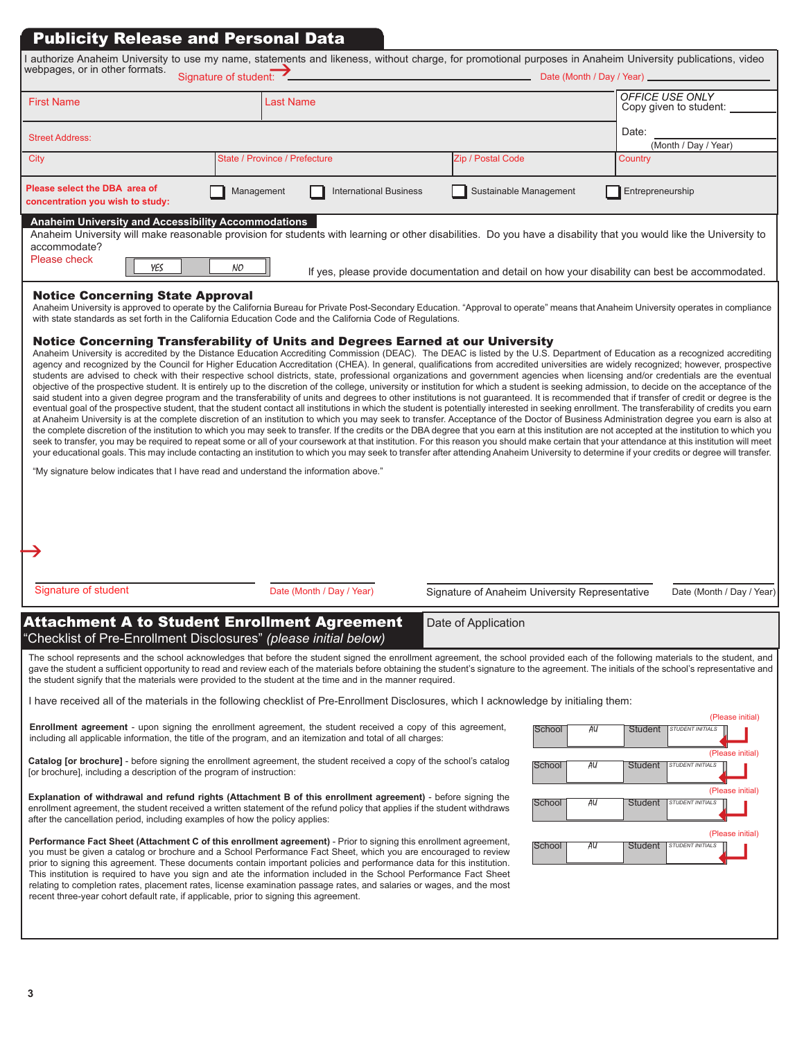## Publicity Release and Personal Data

| authorize Anaheim University to use my name, statements and likeness, without charge, for promotional purposes in Anaheim University publications, video<br>webpages, or in other formats.<br>Signature of student:<br>Date (Month / Day / Year) ___________ |                               |                                                                                                  |                               |  |
|--------------------------------------------------------------------------------------------------------------------------------------------------------------------------------------------------------------------------------------------------------------|-------------------------------|--------------------------------------------------------------------------------------------------|-------------------------------|--|
| <b>First Name</b>                                                                                                                                                                                                                                            | <b>Last Name</b>              |                                                                                                  |                               |  |
| <b>Street Address:</b>                                                                                                                                                                                                                                       |                               |                                                                                                  | Date:<br>(Month / Day / Year) |  |
| City                                                                                                                                                                                                                                                         | State / Province / Prefecture | Zip / Postal Code                                                                                | Country                       |  |
| Please select the DBA area of<br>Sustainable Management<br><b>International Business</b><br>Entrepreneurship<br>Management<br>concentration you wish to study:                                                                                               |                               |                                                                                                  |                               |  |
| <b>Anaheim University and Accessibility Accommodations</b><br>Anaheim University will make reasonable provision for students with learning or other disabilities. Do you have a disability that you would like the University to<br>accommodate?             |                               |                                                                                                  |                               |  |
| Please check<br>YES<br>NO                                                                                                                                                                                                                                    |                               | If yes, please provide documentation and detail on how your disability can best be accommodated. |                               |  |

#### Notice Concerning State Approval

Anaheim University is approved to operate by the California Bureau for Private Post-Secondary Education. "Approval to operate" means that Anaheim University operates in compliance with state standards as set forth in the California Education Code and the California Code of Regulations.

#### Notice Concerning Transferability of Units and Degrees Earned at our University

Anaheim University is accredited by the Distance Education Accrediting Commission (DEAC). The DEAC is listed by the U.S. Department of Education as a recognized accrediting agency and recognized by the Council for Higher Education Accreditation (CHEA). In general, qualifications from accredited universities are widely recognized; however, prospective students are advised to check with their respective school districts, state, professional organizations and government agencies when licensing and/or credentials are the eventual objective of the prospective student. It is entirely up to the discretion of the college, university or institution for which a student is seeking admission, to decide on the acceptance of the said student into a given degree program and the transferability of units and degrees to other institutions is not guaranteed. It is recommended that if transfer of credit or degree is the eventual goal of the prospective student, that the student contact all institutions in which the student is potentially interested in seeking enrollment. The transferability of credits you earn at Anaheim University is at the complete discretion of an institution to which you may seek to transfer. Acceptance of the Doctor of Business Administration degree you earn is also at the complete discretion of the institution to which you may seek to transfer. If the credits or the DBA degree that you earn at this institution are not accepted at the institution to which you seek to transfer, you may be required to repeat some or all of your coursework at that institution. For this reason you should make certain that your attendance at this institution will meet your educational goals. This may include contacting an institution to which you may seek to transfer after attending Anaheim University to determine if your credits or degree will transfer.

"My signature below indicates that I have read and understand the information above."

| Signature of student | Date (Month / Day / Year)                                                                                               | Signature of Anaheim University Representative | Date (Month / Day / Year) |
|----------------------|-------------------------------------------------------------------------------------------------------------------------|------------------------------------------------|---------------------------|
|                      | <b>Attachment A to Student Enrollment Agreement</b><br>"Checklist of Pre-Enrollment Disclosures" (please initial below) | Date of Application                            |                           |

The school represents and the school acknowledges that before the student signed the enrollment agreement, the school provided each of the following materials to the student, and gave the student a sufficient opportunity to read and review each of the materials before obtaining the student's signature to the agreement. The initials of the school's representative and the student signify that the materials were provided to the student at the time and in the manner required.

I have received all of the materials in the following checklist of Pre-Enrollment Disclosures, which I acknowledge by initialing them:

**Enrollment agreement** - upon signing the enrollment agreement, the student received a copy of this agreement, including all applicable information, the title of the program, and an itemization and total of all charges:

**Catalog [or brochure]** - before signing the enrollment agreement, the student received a copy of the school's catalog [or brochure], including a description of the program of instruction:

**Explanation of withdrawal and refund rights (Attachment B of this enrollment agreement)** - before signing the enrollment agreement, the student received a written statement of the refund policy that applies if the student withdraws after the cancellation period, including examples of how the policy applies:

**Performance Fact Sheet (Attachment C of this enrollment agreement)** - Prior to signing this enrollment agreement, you must be given a catalog or brochure and a School Performance Fact Sheet, which you are encouraged to review prior to signing this agreement. These documents contain important policies and performance data for this institution. This institution is required to have you sign and ate the information included in the School Performance Fact Sheet relating to completion rates, placement rates, license examination passage rates, and salaries or wages, and the most recent three-year cohort default rate, if applicable, prior to signing this agreement.

|        |    |                | (Please initial)        |
|--------|----|----------------|-------------------------|
| School | AU | <b>Student</b> | <b>STUDENT INITIALS</b> |
|        |    |                | (Please initial)        |
| School | AU | <b>Student</b> | <b>STUDENT INITIALS</b> |
|        |    |                | (Please initial)        |
| School | AU | <b>Student</b> | <b>STUDENT INITIALS</b> |
|        |    |                | (Please initial)        |
| School | AU | <b>Student</b> | <b>STUDENT INITIALS</b> |
|        |    |                |                         |
|        |    |                |                         |
|        |    |                |                         |